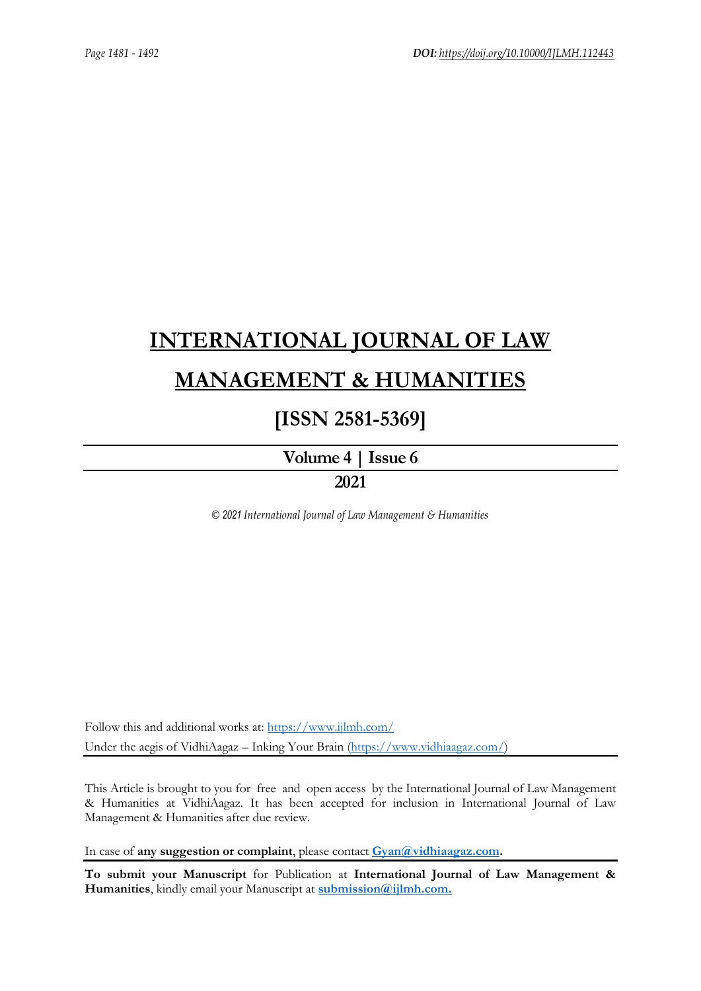# **[INTERNATIONAL JOURNAL OF LAW](https://www.ijlmh.com/)  [MANAGEMENT & HUMANITIES](https://www.ijlmh.com/)**

# **[ISSN 2581-5369]**

**[Volume 4 |](https://www.ijlmh.com/publications/volume-iv-issue-vi/) Issue 6**

# **2021**

*© 2021 International Journal of Law Management & Humanities*

Follow this and additional works at:<https://www.ijlmh.com/> Under the aegis of VidhiAagaz – Inking Your Brain [\(https://www.vidhiaagaz.com/\)](https://www.vidhiaagaz.com/)

This Article is brought to you for free and open access by the International Journal of Law Management & Humanities at VidhiAagaz. It has been accepted for inclusion in International Journal of Law Management & Humanities after due review.

In case of **any suggestion or complaint**, please contact **[Gyan@vidhiaagaz.com.](mailto:Gyan@vidhiaagaz.com)** 

**To submit your Manuscript** for Publication at **International Journal of Law Management & Humanities**, kindly email your Manuscript at **[submission@ijlmh.com.](mailto:submission@ijlmh.com)**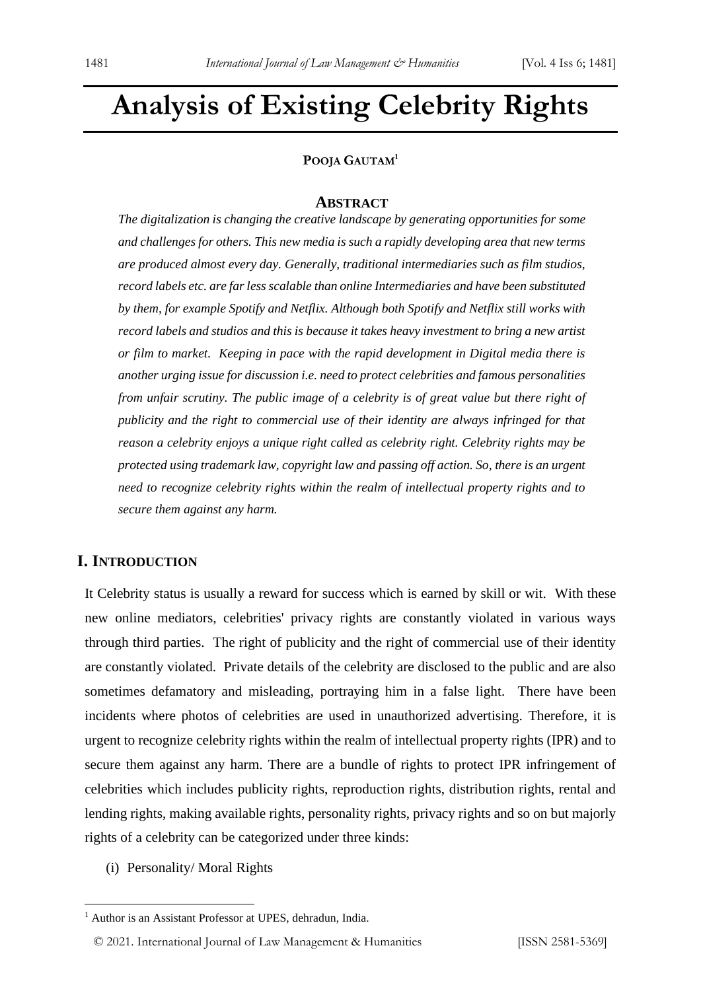# **Analysis of Existing Celebrity Rights**

#### **POOJA GAUTAM<sup>1</sup>**

#### **ABSTRACT**

*The digitalization is changing the creative landscape by generating opportunities for some and challenges for others. This new media is such a rapidly developing area that new terms are produced almost every day. Generally, traditional intermediaries such as film studios, record labels etc. are far less scalable than online Intermediaries and have been substituted by them, for example Spotify and Netflix. Although both Spotify and Netflix still works with record labels and studios and this is because it takes heavy investment to bring a new artist or film to market. Keeping in pace with the rapid development in Digital media there is another urging issue for discussion i.e. need to protect celebrities and famous personalities from unfair scrutiny. The public image of a celebrity is of great value but there right of publicity and the right to commercial use of their identity are always infringed for that reason a celebrity enjoys a unique right called as celebrity right. Celebrity rights may be protected using trademark law, copyright law and passing off action. So, there is an urgent need to recognize celebrity rights within the realm of intellectual property rights and to secure them against any harm.*

### **I. INTRODUCTION**

It Celebrity status is usually a reward for success which is earned by skill or wit. With these new online mediators, celebrities' privacy rights are constantly violated in various ways through third parties. The right of publicity and the right of commercial use of their identity are constantly violated. Private details of the celebrity are disclosed to the public and are also sometimes defamatory and misleading, portraying him in a false light. There have been incidents where photos of celebrities are used in unauthorized advertising. Therefore, it is urgent to recognize celebrity rights within the realm of intellectual property rights (IPR) and to secure them against any harm. There are a bundle of rights to protect IPR infringement of celebrities which includes publicity rights, reproduction rights, distribution rights, rental and lending rights, making available rights, personality rights, privacy rights and so on but majorly rights of a celebrity can be categorized under three kinds:

(i) Personality/ Moral Rights

<sup>&</sup>lt;sup>1</sup> Author is an Assistant Professor at UPES, dehradun, India.

<sup>© 2021.</sup> International Journal of [Law Management & Humanities](https://www.ijlmh.com/) [ISSN 2581-5369]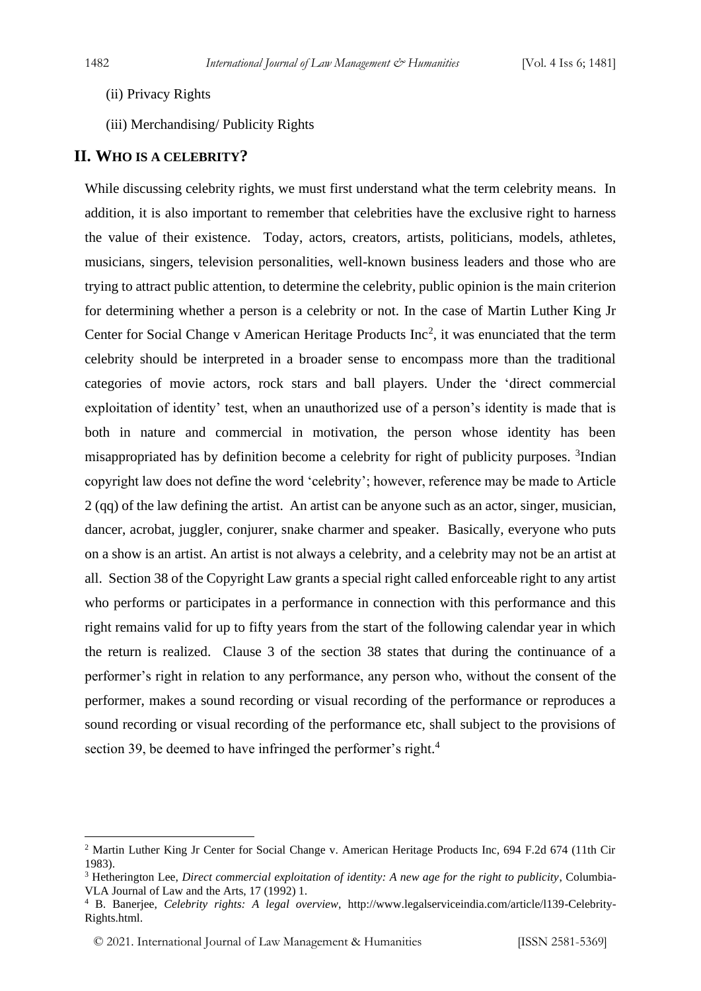- (ii) Privacy Rights
- (iii) Merchandising/ Publicity Rights

#### **II. WHO IS A CELEBRITY?**

While discussing celebrity rights, we must first understand what the term celebrity means. In addition, it is also important to remember that celebrities have the exclusive right to harness the value of their existence. Today, actors, creators, artists, politicians, models, athletes, musicians, singers, television personalities, well-known business leaders and those who are trying to attract public attention, to determine the celebrity, public opinion is the main criterion for determining whether a person is a celebrity or not. In the case of Martin Luther King Jr Center for Social Change v American Heritage Products Inc<sup>2</sup>, it was enunciated that the term celebrity should be interpreted in a broader sense to encompass more than the traditional categories of movie actors, rock stars and ball players. Under the 'direct commercial exploitation of identity' test, when an unauthorized use of a person's identity is made that is both in nature and commercial in motivation, the person whose identity has been misappropriated has by definition become a celebrity for right of publicity purposes. <sup>3</sup>Indian copyright law does not define the word 'celebrity'; however, reference may be made to Article 2 (qq) of the law defining the artist. An artist can be anyone such as an actor, singer, musician, dancer, acrobat, juggler, conjurer, snake charmer and speaker. Basically, everyone who puts on a show is an artist. An artist is not always a celebrity, and a celebrity may not be an artist at all. Section 38 of the Copyright Law grants a special right called enforceable right to any artist who performs or participates in a performance in connection with this performance and this right remains valid for up to fifty years from the start of the following calendar year in which the return is realized. Clause 3 of the section 38 states that during the continuance of a performer's right in relation to any performance, any person who, without the consent of the performer, makes a sound recording or visual recording of the performance or reproduces a sound recording or visual recording of the performance etc, shall subject to the provisions of section 39, be deemed to have infringed the performer's right.<sup>4</sup>

<sup>&</sup>lt;sup>2</sup> Martin Luther King Jr Center for Social Change v. American Heritage Products Inc, 694 F.2d 674 (11th Cir 1983).

<sup>3</sup> Hetherington Lee, *Direct commercial exploitation of identity: A new age for the right to publicity*, Columbia-VLA Journal of Law and the Arts, 17 (1992) 1.

<sup>4</sup> B. Banerjee, *Celebrity rights: A legal overview*, http://www.legalserviceindia.com/article/l139-Celebrity-Rights.html.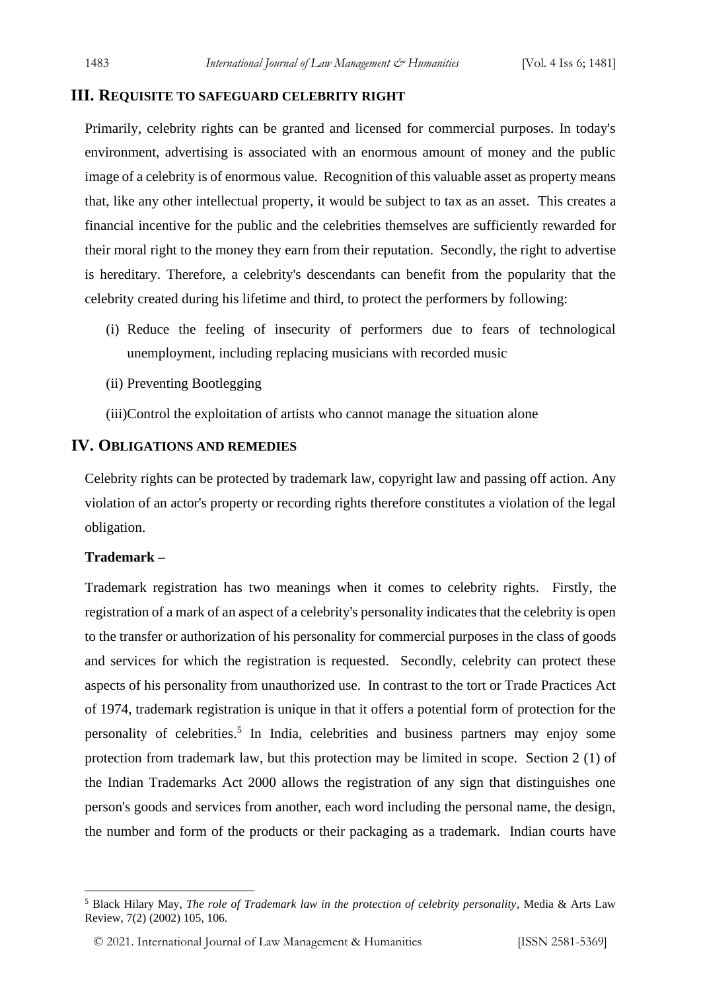#### **III. REQUISITE TO SAFEGUARD CELEBRITY RIGHT**

Primarily, celebrity rights can be granted and licensed for commercial purposes. In today's environment, advertising is associated with an enormous amount of money and the public image of a celebrity is of enormous value. Recognition of this valuable asset as property means that, like any other intellectual property, it would be subject to tax as an asset. This creates a financial incentive for the public and the celebrities themselves are sufficiently rewarded for their moral right to the money they earn from their reputation. Secondly, the right to advertise is hereditary. Therefore, a celebrity's descendants can benefit from the popularity that the celebrity created during his lifetime and third, to protect the performers by following:

- (i) Reduce the feeling of insecurity of performers due to fears of technological unemployment, including replacing musicians with recorded music
- (ii) Preventing Bootlegging
- (iii)Control the exploitation of artists who cannot manage the situation alone

#### **IV. OBLIGATIONS AND REMEDIES**

Celebrity rights can be protected by trademark law, copyright law and passing off action. Any violation of an actor's property or recording rights therefore constitutes a violation of the legal obligation.

#### **Trademark –**

Trademark registration has two meanings when it comes to celebrity rights. Firstly, the registration of a mark of an aspect of a celebrity's personality indicates that the celebrity is open to the transfer or authorization of his personality for commercial purposes in the class of goods and services for which the registration is requested. Secondly, celebrity can protect these aspects of his personality from unauthorized use. In contrast to the tort or Trade Practices Act of 1974, trademark registration is unique in that it offers a potential form of protection for the personality of celebrities.<sup>5</sup> In India, celebrities and business partners may enjoy some protection from trademark law, but this protection may be limited in scope. Section 2 (1) of the Indian Trademarks Act 2000 allows the registration of any sign that distinguishes one person's goods and services from another, each word including the personal name, the design, the number and form of the products or their packaging as a trademark. Indian courts have

<sup>5</sup> Black Hilary May, *The role of Trademark law in the protection of celebrity personality*, Media & Arts Law Review, 7(2) (2002) 105, 106.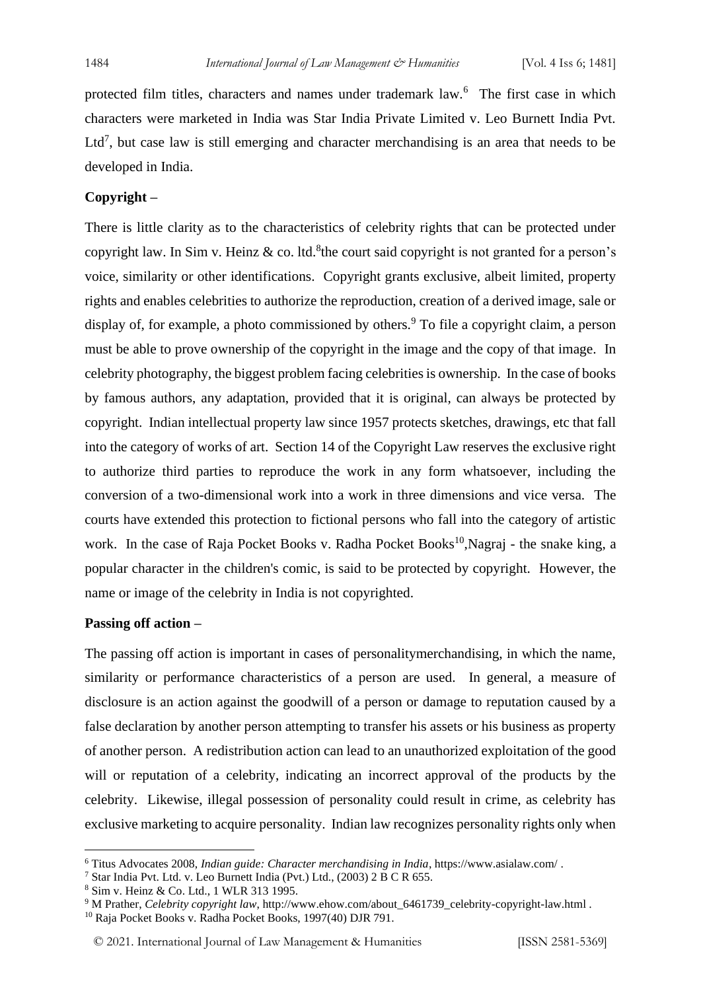protected film titles, characters and names under trademark law.<sup>6</sup> The first case in which characters were marketed in India was Star India Private Limited v. Leo Burnett India Pvt. Ltd<sup>7</sup>, but case law is still emerging and character merchandising is an area that needs to be developed in India.

#### **Copyright –**

There is little clarity as to the characteristics of celebrity rights that can be protected under copyright law. In Sim v. Heinz & co. ltd. <sup>8</sup>the court said copyright is not granted for a person's voice, similarity or other identifications. Copyright grants exclusive, albeit limited, property rights and enables celebrities to authorize the reproduction, creation of a derived image, sale or display of, for example, a photo commissioned by others.<sup>9</sup> To file a copyright claim, a person must be able to prove ownership of the copyright in the image and the copy of that image. In celebrity photography, the biggest problem facing celebrities is ownership. In the case of books by famous authors, any adaptation, provided that it is original, can always be protected by copyright. Indian intellectual property law since 1957 protects sketches, drawings, etc that fall into the category of works of art. Section 14 of the Copyright Law reserves the exclusive right to authorize third parties to reproduce the work in any form whatsoever, including the conversion of a two-dimensional work into a work in three dimensions and vice versa. The courts have extended this protection to fictional persons who fall into the category of artistic work. In the case of Raja Pocket Books v. Radha Pocket Books<sup>10</sup>,Nagraj - the snake king, a popular character in the children's comic, is said to be protected by copyright. However, the name or image of the celebrity in India is not copyrighted.

#### **Passing off action –**

The passing off action is important in cases of personalitymerchandising, in which the name, similarity or performance characteristics of a person are used. In general, a measure of disclosure is an action against the goodwill of a person or damage to reputation caused by a false declaration by another person attempting to transfer his assets or his business as property of another person. A redistribution action can lead to an unauthorized exploitation of the good will or reputation of a celebrity, indicating an incorrect approval of the products by the celebrity. Likewise, illegal possession of personality could result in crime, as celebrity has exclusive marketing to acquire personality. Indian law recognizes personality rights only when

<sup>6</sup> Titus Advocates 2008, *Indian guide: Character merchandising in India*, https://www.asialaw.com/ .

<sup>7</sup> Star India Pvt. Ltd. v. Leo Burnett India (Pvt.) Ltd., (2003) 2 B C R 655.

<sup>8</sup> Sim v. Heinz & Co. Ltd., 1 WLR 313 1995.

<sup>&</sup>lt;sup>9</sup> M Prather, *Celebrity copyright law*, http://www.ehow.com/about\_6461739\_celebrity-copyright-law.html .

<sup>10</sup> Raja Pocket Books v. Radha Pocket Books, 1997(40) DJR 791.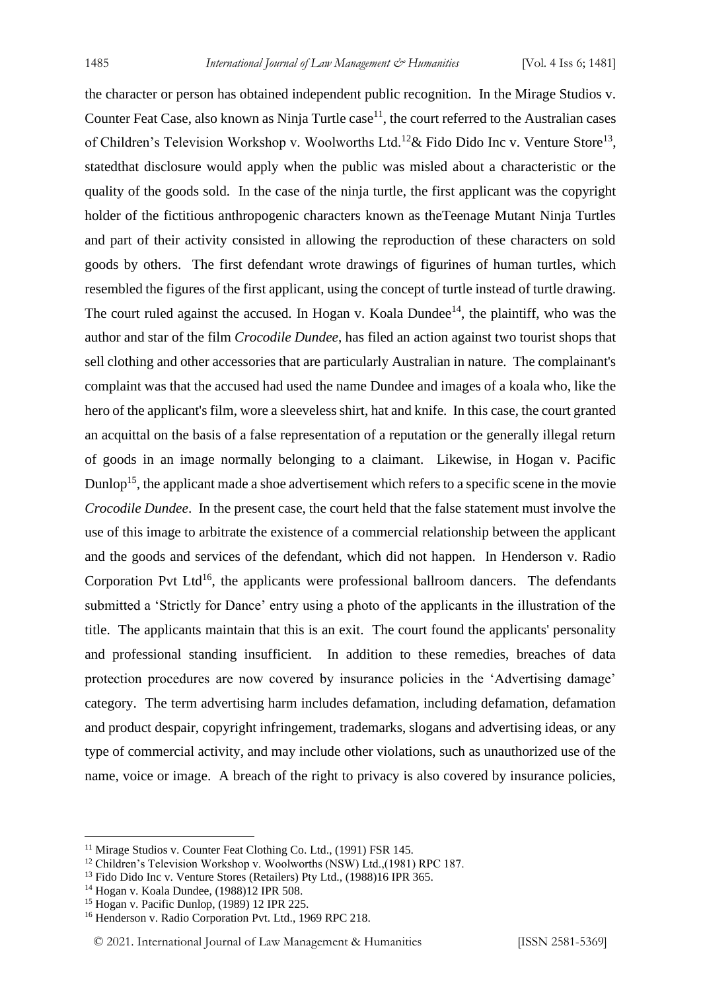the character or person has obtained independent public recognition. In the Mirage Studios v. Counter Feat Case, also known as Ninja Turtle  $case<sup>11</sup>$ , the court referred to the Australian cases of Children's Television Workshop v. Woolworths Ltd.<sup>12</sup> & Fido Dido Inc v. Venture Store<sup>13</sup>, statedthat disclosure would apply when the public was misled about a characteristic or the quality of the goods sold. In the case of the ninja turtle, the first applicant was the copyright holder of the fictitious anthropogenic characters known as theTeenage Mutant Ninja Turtles and part of their activity consisted in allowing the reproduction of these characters on sold goods by others. The first defendant wrote drawings of figurines of human turtles, which resembled the figures of the first applicant, using the concept of turtle instead of turtle drawing. The court ruled against the accused. In Hogan v. Koala Dundee<sup>14</sup>, the plaintiff, who was the author and star of the film *Crocodile Dundee*, has filed an action against two tourist shops that sell clothing and other accessories that are particularly Australian in nature. The complainant's complaint was that the accused had used the name Dundee and images of a koala who, like the hero of the applicant's film, wore a sleeveless shirt, hat and knife. In this case, the court granted an acquittal on the basis of a false representation of a reputation or the generally illegal return of goods in an image normally belonging to a claimant. Likewise, in Hogan v. Pacific Dunlop<sup>15</sup>, the applicant made a shoe advertisement which refers to a specific scene in the movie *Crocodile Dundee*. In the present case, the court held that the false statement must involve the use of this image to arbitrate the existence of a commercial relationship between the applicant and the goods and services of the defendant, which did not happen. In Henderson v. Radio Corporation Pvt Ltd<sup>16</sup>, the applicants were professional ballroom dancers. The defendants submitted a 'Strictly for Dance' entry using a photo of the applicants in the illustration of the title. The applicants maintain that this is an exit. The court found the applicants' personality and professional standing insufficient. In addition to these remedies, breaches of data protection procedures are now covered by insurance policies in the 'Advertising damage' category. The term advertising harm includes defamation, including defamation, defamation and product despair, copyright infringement, trademarks, slogans and advertising ideas, or any type of commercial activity, and may include other violations, such as unauthorized use of the name, voice or image. A breach of the right to privacy is also covered by insurance policies,

<sup>&</sup>lt;sup>11</sup> Mirage Studios v. Counter Feat Clothing Co. Ltd., (1991) FSR 145.

<sup>&</sup>lt;sup>12</sup> Children's Television Workshop v. Woolworths (NSW) Ltd.,(1981) RPC 187.

<sup>&</sup>lt;sup>13</sup> Fido Dido Inc v. Venture Stores (Retailers) Pty Ltd., (1988)16 IPR 365.

<sup>14</sup> Hogan v. Koala Dundee, (1988)12 IPR 508.

<sup>15</sup> Hogan v. Pacific Dunlop, (1989) 12 IPR 225.

<sup>16</sup> Henderson v. Radio Corporation Pvt. Ltd., 1969 RPC 218.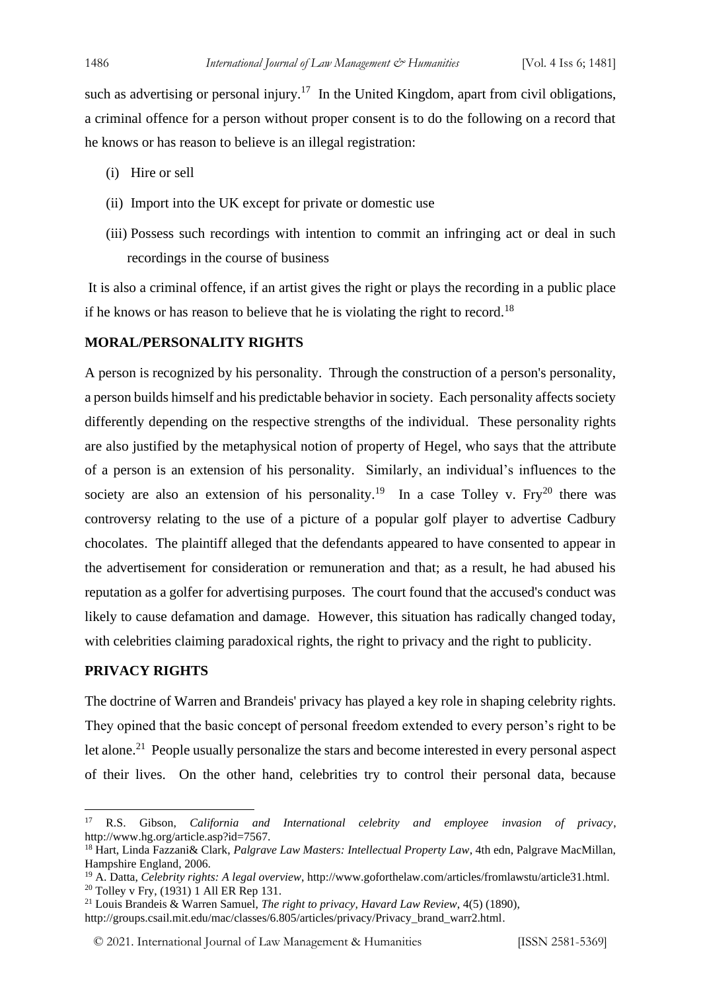such as advertising or personal injury.<sup>17</sup> In the United Kingdom, apart from civil obligations, a criminal offence for a person without proper consent is to do the following on a record that he knows or has reason to believe is an illegal registration:

- (i) Hire or sell
- (ii) Import into the UK except for private or domestic use
- (iii) Possess such recordings with intention to commit an infringing act or deal in such recordings in the course of business

It is also a criminal offence, if an artist gives the right or plays the recording in a public place if he knows or has reason to believe that he is violating the right to record.<sup>18</sup>

#### **MORAL/PERSONALITY RIGHTS**

A person is recognized by his personality. Through the construction of a person's personality, a person builds himself and his predictable behavior in society. Each personality affects society differently depending on the respective strengths of the individual. These personality rights are also justified by the metaphysical notion of property of Hegel, who says that the attribute of a person is an extension of his personality. Similarly, an individual's influences to the society are also an extension of his personality.<sup>19</sup> In a case Tolley v. Fry<sup>20</sup> there was controversy relating to the use of a picture of a popular golf player to advertise Cadbury chocolates. The plaintiff alleged that the defendants appeared to have consented to appear in the advertisement for consideration or remuneration and that; as a result, he had abused his reputation as a golfer for advertising purposes. The court found that the accused's conduct was likely to cause defamation and damage. However, this situation has radically changed today, with celebrities claiming paradoxical rights, the right to privacy and the right to publicity.

### **PRIVACY RIGHTS**

The doctrine of Warren and Brandeis' privacy has played a key role in shaping celebrity rights. They opined that the basic concept of personal freedom extended to every person's right to be let alone.<sup>21</sup> People usually personalize the stars and become interested in every personal aspect of their lives. On the other hand, celebrities try to control their personal data, because

<sup>17</sup> R.S. Gibson, *California and International celebrity and employee invasion of privacy*, http://www.hg.org/article.asp?id=7567.

<sup>18</sup> Hart, Linda Fazzani& Clark, *Palgrave Law Masters: Intellectual Property Law*, 4th edn, Palgrave MacMillan, Hampshire England, 2006.

<sup>19</sup> A. Datta, *Celebrity rights: A legal overview*, http://www.goforthelaw.com/articles/fromlawstu/article31.html. <sup>20</sup> Tolley v Fry,  $(1931)$  1 All ER Rep 131.

<sup>21</sup> Louis Brandeis & Warren Samuel, *The right to privacy, Havard Law Review*, 4(5) (1890),

http://groups.csail.mit.edu/mac/classes/6.805/articles/privacy/Privacy\_brand\_warr2.html.

<sup>© 2021.</sup> International Journal of [Law Management & Humanities](https://www.ijlmh.com/) [ISSN 2581-5369]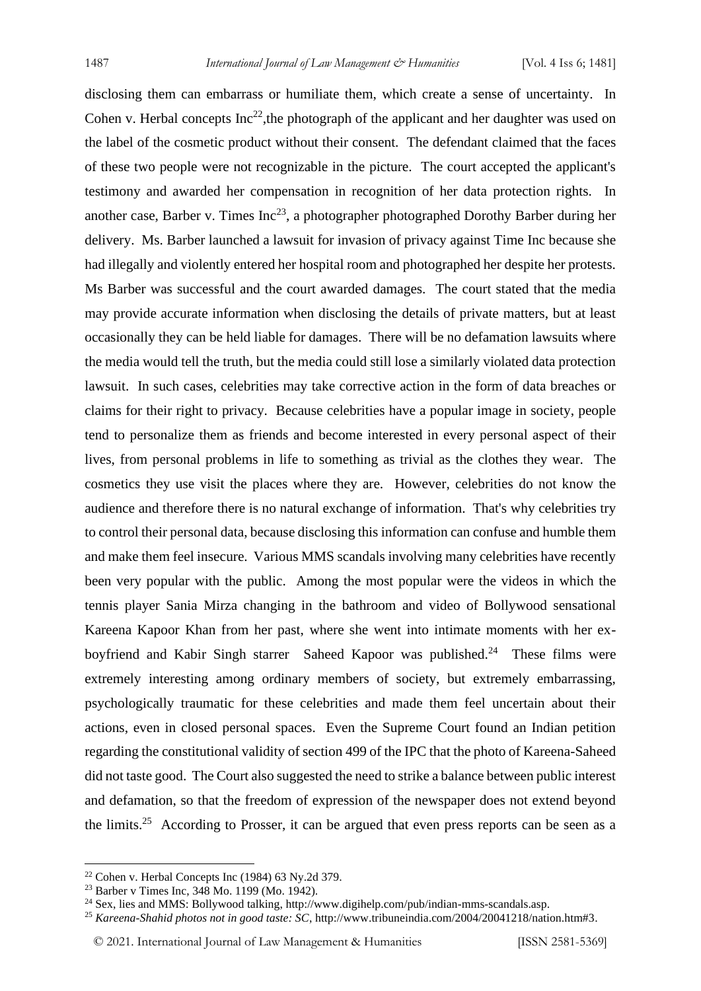disclosing them can embarrass or humiliate them, which create a sense of uncertainty. In Cohen v. Herbal concepts  $Inc^{22}$ , the photograph of the applicant and her daughter was used on the label of the cosmetic product without their consent. The defendant claimed that the faces of these two people were not recognizable in the picture. The court accepted the applicant's testimony and awarded her compensation in recognition of her data protection rights. In another case, Barber v. Times  $Inc^{23}$ , a photographer photographed Dorothy Barber during her delivery. Ms. Barber launched a lawsuit for invasion of privacy against Time Inc because she had illegally and violently entered her hospital room and photographed her despite her protests. Ms Barber was successful and the court awarded damages. The court stated that the media may provide accurate information when disclosing the details of private matters, but at least occasionally they can be held liable for damages. There will be no defamation lawsuits where the media would tell the truth, but the media could still lose a similarly violated data protection lawsuit. In such cases, celebrities may take corrective action in the form of data breaches or claims for their right to privacy. Because celebrities have a popular image in society, people tend to personalize them as friends and become interested in every personal aspect of their lives, from personal problems in life to something as trivial as the clothes they wear. The cosmetics they use visit the places where they are. However, celebrities do not know the audience and therefore there is no natural exchange of information. That's why celebrities try to control their personal data, because disclosing this information can confuse and humble them and make them feel insecure. Various MMS scandals involving many celebrities have recently been very popular with the public. Among the most popular were the videos in which the tennis player Sania Mirza changing in the bathroom and video of Bollywood sensational Kareena Kapoor Khan from her past, where she went into intimate moments with her exboyfriend and Kabir Singh starrer Saheed Kapoor was published.<sup>24</sup> These films were extremely interesting among ordinary members of society, but extremely embarrassing, psychologically traumatic for these celebrities and made them feel uncertain about their actions, even in closed personal spaces. Even the Supreme Court found an Indian petition regarding the constitutional validity of section 499 of the IPC that the photo of Kareena-Saheed did not taste good. The Court also suggested the need to strike a balance between public interest and defamation, so that the freedom of expression of the newspaper does not extend beyond the limits.<sup>25</sup> According to Prosser, it can be argued that even press reports can be seen as a

<sup>22</sup> Cohen v. Herbal Concepts Inc (1984) 63 Ny.2d 379.

<sup>23</sup> Barber v Times Inc, 348 Mo. 1199 (Mo. 1942).

<sup>24</sup> Sex, lies and MMS: Bollywood talking, http://www.digihelp.com/pub/indian-mms-scandals.asp.

<sup>25</sup> *Kareena-Shahid photos not in good taste: SC*, http://www.tribuneindia.com/2004/20041218/nation.htm#3.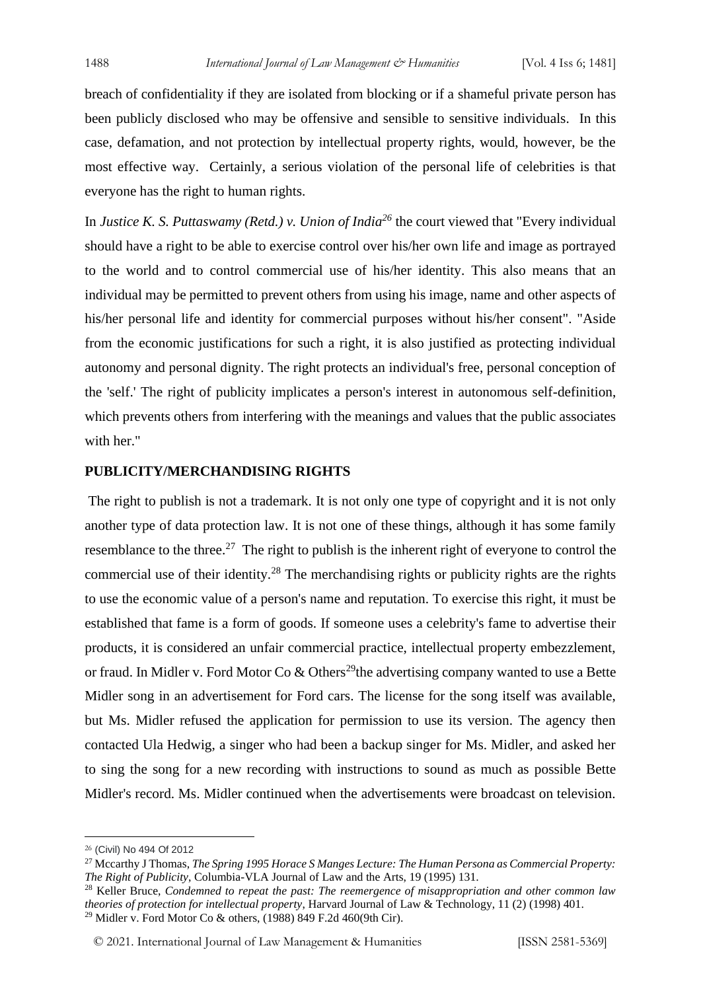breach of confidentiality if they are isolated from blocking or if a shameful private person has been publicly disclosed who may be offensive and sensible to sensitive individuals. In this case, defamation, and not protection by intellectual property rights, would, however, be the most effective way. Certainly, a serious violation of the personal life of celebrities is that everyone has the right to human rights.

In *Justice K. S. Puttaswamy (Retd.) v. Union of India<sup>26</sup>* the court viewed that "Every individual should have a right to be able to exercise control over his/her own life and image as portrayed to the world and to control commercial use of his/her identity. This also means that an individual may be permitted to prevent others from using his image, name and other aspects of his/her personal life and identity for commercial purposes without his/her consent". "Aside from the economic justifications for such a right, it is also justified as protecting individual autonomy and personal dignity. The right protects an individual's free, personal conception of the 'self.' The right of publicity implicates a person's interest in autonomous self-definition, which prevents others from interfering with the meanings and values that the public associates with her."

#### **PUBLICITY/MERCHANDISING RIGHTS**

The right to publish is not a trademark. It is not only one type of copyright and it is not only another type of data protection law. It is not one of these things, although it has some family resemblance to the three.<sup>27</sup> The right to publish is the inherent right of everyone to control the commercial use of their identity.<sup>28</sup> The merchandising rights or publicity rights are the rights to use the economic value of a person's name and reputation. To exercise this right, it must be established that fame is a form of goods. If someone uses a celebrity's fame to advertise their products, it is considered an unfair commercial practice, intellectual property embezzlement, or fraud. In Midler v. Ford Motor Co & Others<sup>29</sup>the advertising company wanted to use a Bette Midler song in an advertisement for Ford cars. The license for the song itself was available, but Ms. Midler refused the application for permission to use its version. The agency then contacted Ula Hedwig, a singer who had been a backup singer for Ms. Midler, and asked her to sing the song for a new recording with instructions to sound as much as possible Bette Midler's record. Ms. Midler continued when the advertisements were broadcast on television.

<sup>26</sup> (Civil) No 494 Of 2012

<sup>27</sup> Mccarthy J Thomas, *The Spring 1995 Horace S Manges Lecture: The Human Persona as Commercial Property: The Right of Publicity*, Columbia-VLA Journal of Law and the Arts, 19 (1995) 131.

<sup>28</sup> Keller Bruce, *Condemned to repeat the past: The reemergence of misappropriation and other common law theories of protection for intellectual property*, Harvard Journal of Law & Technology, 11 (2) (1998) 401. <sup>29</sup> Midler v. Ford Motor Co & others, (1988) 849 F.2d 460(9th Cir).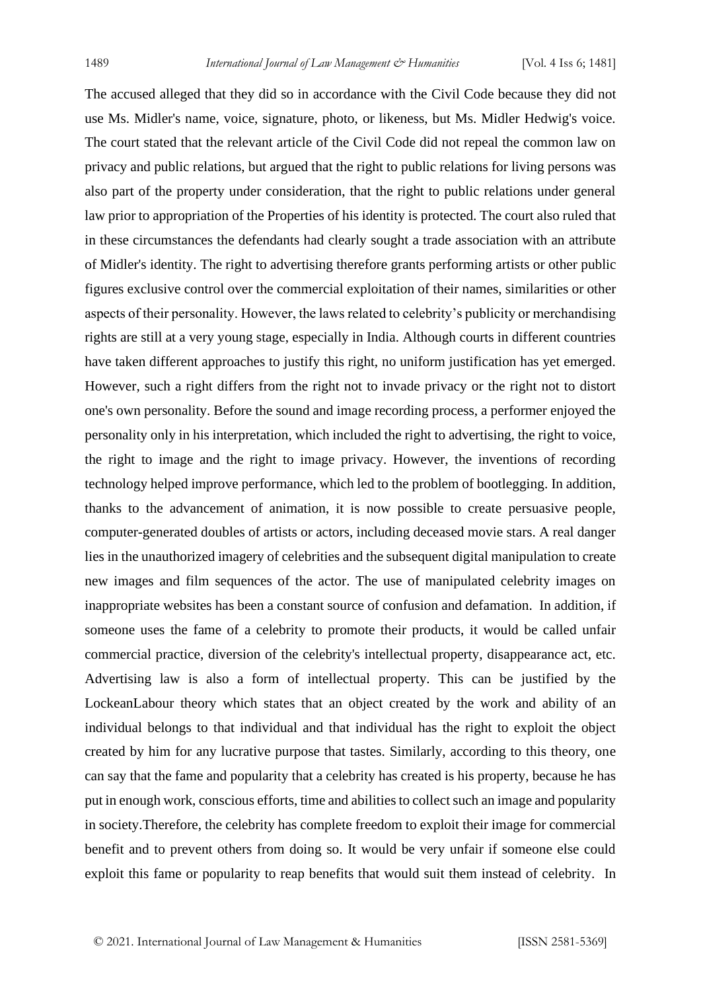The accused alleged that they did so in accordance with the Civil Code because they did not use Ms. Midler's name, voice, signature, photo, or likeness, but Ms. Midler Hedwig's voice. The court stated that the relevant article of the Civil Code did not repeal the common law on privacy and public relations, but argued that the right to public relations for living persons was also part of the property under consideration, that the right to public relations under general law prior to appropriation of the Properties of his identity is protected. The court also ruled that in these circumstances the defendants had clearly sought a trade association with an attribute of Midler's identity. The right to advertising therefore grants performing artists or other public figures exclusive control over the commercial exploitation of their names, similarities or other aspects of their personality. However, the laws related to celebrity's publicity or merchandising rights are still at a very young stage, especially in India. Although courts in different countries have taken different approaches to justify this right, no uniform justification has yet emerged. However, such a right differs from the right not to invade privacy or the right not to distort one's own personality. Before the sound and image recording process, a performer enjoyed the personality only in his interpretation, which included the right to advertising, the right to voice, the right to image and the right to image privacy. However, the inventions of recording technology helped improve performance, which led to the problem of bootlegging. In addition, thanks to the advancement of animation, it is now possible to create persuasive people, computer-generated doubles of artists or actors, including deceased movie stars. A real danger lies in the unauthorized imagery of celebrities and the subsequent digital manipulation to create new images and film sequences of the actor. The use of manipulated celebrity images on inappropriate websites has been a constant source of confusion and defamation. In addition, if someone uses the fame of a celebrity to promote their products, it would be called unfair commercial practice, diversion of the celebrity's intellectual property, disappearance act, etc. Advertising law is also a form of intellectual property. This can be justified by the LockeanLabour theory which states that an object created by the work and ability of an individual belongs to that individual and that individual has the right to exploit the object created by him for any lucrative purpose that tastes. Similarly, according to this theory, one can say that the fame and popularity that a celebrity has created is his property, because he has put in enough work, conscious efforts, time and abilities to collect such an image and popularity in society.Therefore, the celebrity has complete freedom to exploit their image for commercial benefit and to prevent others from doing so. It would be very unfair if someone else could exploit this fame or popularity to reap benefits that would suit them instead of celebrity. In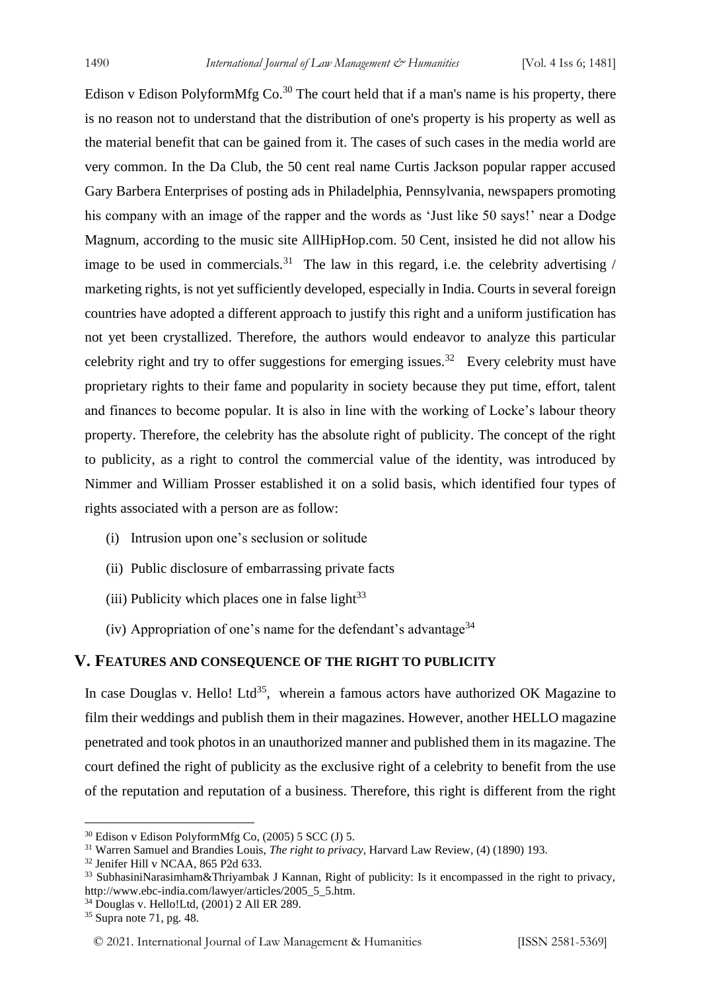Edison v Edison PolyformMfg  $Co^{30}$  The court held that if a man's name is his property, there is no reason not to understand that the distribution of one's property is his property as well as the material benefit that can be gained from it. The cases of such cases in the media world are very common. In the Da Club, the 50 cent real name Curtis Jackson popular rapper accused Gary Barbera Enterprises of posting ads in Philadelphia, Pennsylvania, newspapers promoting his company with an image of the rapper and the words as 'Just like 50 says!' near a Dodge Magnum, according to the music site AllHipHop.com. 50 Cent, insisted he did not allow his image to be used in commercials.<sup>31</sup> The law in this regard, i.e. the celebrity advertising / marketing rights, is not yet sufficiently developed, especially in India. Courts in several foreign countries have adopted a different approach to justify this right and a uniform justification has not yet been crystallized. Therefore, the authors would endeavor to analyze this particular celebrity right and try to offer suggestions for emerging issues.<sup>32</sup> Every celebrity must have proprietary rights to their fame and popularity in society because they put time, effort, talent and finances to become popular. It is also in line with the working of Locke's labour theory property. Therefore, the celebrity has the absolute right of publicity. The concept of the right to publicity, as a right to control the commercial value of the identity, was introduced by Nimmer and William Prosser established it on a solid basis, which identified four types of rights associated with a person are as follow:

- (i) Intrusion upon one's seclusion or solitude
- (ii) Public disclosure of embarrassing private facts
- (iii) Publicity which places one in false light $33$
- (iv) Appropriation of one's name for the defendant's advantage<sup>34</sup>

#### **V. FEATURES AND CONSEQUENCE OF THE RIGHT TO PUBLICITY**

In case Douglas v. Hello! Ltd<sup>35</sup>, wherein a famous actors have authorized OK Magazine to film their weddings and publish them in their magazines. However, another HELLO magazine penetrated and took photos in an unauthorized manner and published them in its magazine. The court defined the right of publicity as the exclusive right of a celebrity to benefit from the use of the reputation and reputation of a business. Therefore, this right is different from the right

<sup>30</sup> Edison v Edison PolyformMfg Co, (2005) 5 SCC (J) 5.

<sup>31</sup> Warren Samuel and Brandies Louis, *The right to privacy*, Harvard Law Review, (4) (1890) 193.

<sup>32</sup> Jenifer Hill v NCAA, 865 P2d 633.

<sup>&</sup>lt;sup>33</sup> SubhasiniNarasimham&Thriyambak J Kannan, Right of publicity: Is it encompassed in the right to privacy, http://www.ebc-india.com/lawyer/articles/2005\_5\_5.htm.

<sup>34</sup> Douglas v. Hello!Ltd, (2001) 2 All ER 289.

<sup>35</sup> Supra note 71, pg. 48.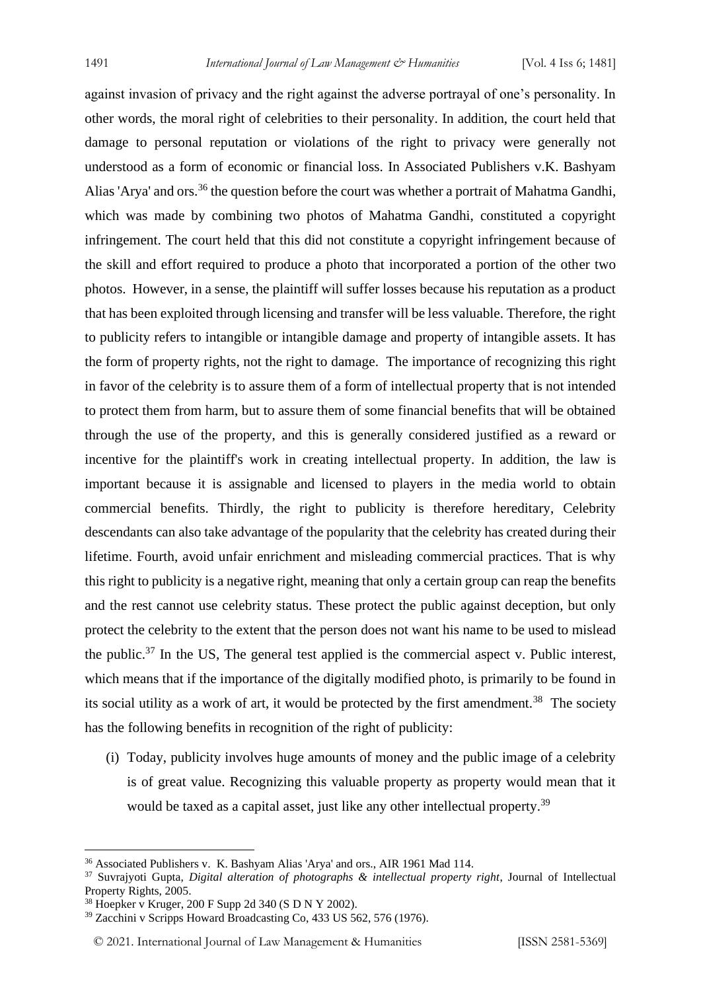against invasion of privacy and the right against the adverse portrayal of one's personality. In other words, the moral right of celebrities to their personality. In addition, the court held that damage to personal reputation or violations of the right to privacy were generally not understood as a form of economic or financial loss. In Associated Publishers v.K. Bashyam Alias 'Arya' and ors.<sup>36</sup> the question before the court was whether a portrait of Mahatma Gandhi, which was made by combining two photos of Mahatma Gandhi, constituted a copyright infringement. The court held that this did not constitute a copyright infringement because of the skill and effort required to produce a photo that incorporated a portion of the other two photos. However, in a sense, the plaintiff will suffer losses because his reputation as a product that has been exploited through licensing and transfer will be less valuable. Therefore, the right to publicity refers to intangible or intangible damage and property of intangible assets. It has the form of property rights, not the right to damage. The importance of recognizing this right in favor of the celebrity is to assure them of a form of intellectual property that is not intended to protect them from harm, but to assure them of some financial benefits that will be obtained through the use of the property, and this is generally considered justified as a reward or incentive for the plaintiff's work in creating intellectual property. In addition, the law is important because it is assignable and licensed to players in the media world to obtain commercial benefits. Thirdly, the right to publicity is therefore hereditary, Celebrity descendants can also take advantage of the popularity that the celebrity has created during their lifetime. Fourth, avoid unfair enrichment and misleading commercial practices. That is why this right to publicity is a negative right, meaning that only a certain group can reap the benefits and the rest cannot use celebrity status. These protect the public against deception, but only protect the celebrity to the extent that the person does not want his name to be used to mislead the public.<sup>37</sup> In the US, The general test applied is the commercial aspect v. Public interest, which means that if the importance of the digitally modified photo, is primarily to be found in its social utility as a work of art, it would be protected by the first amendment.<sup>38</sup> The society has the following benefits in recognition of the right of publicity:

(i) Today, publicity involves huge amounts of money and the public image of a celebrity is of great value. Recognizing this valuable property as property would mean that it would be taxed as a capital asset, just like any other intellectual property.<sup>39</sup>

<sup>36</sup> Associated Publishers v. K. Bashyam Alias 'Arya' and ors., AIR 1961 Mad 114.

<sup>37</sup> Suvrajyoti Gupta, *Digital alteration of photographs & intellectual property right*, Journal of Intellectual Property Rights, 2005.

<sup>38</sup> Hoepker v Kruger, 200 F Supp 2d 340 (S D N Y 2002).

<sup>39</sup> Zacchini v Scripps Howard Broadcasting Co, 433 US 562, 576 (1976).